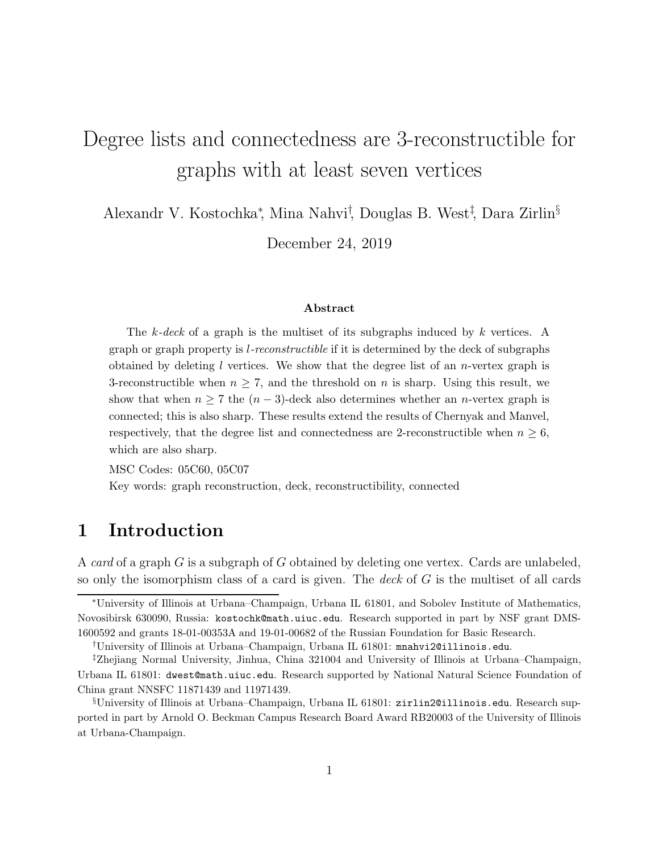# Degree lists and connectedness are 3-reconstructible for graphs with at least seven vertices

Alexandr V. Kostochka<sup>∗</sup> , Mina Nahvi† , Douglas B. West‡ , Dara Zirlin§

December 24, 2019

#### Abstract

The k-deck of a graph is the multiset of its subgraphs induced by k vertices. A graph or graph property is l-reconstructible if it is determined by the deck of subgraphs obtained by deleting  $l$  vertices. We show that the degree list of an *n*-vertex graph is 3-reconstructible when  $n \geq 7$ , and the threshold on n is sharp. Using this result, we show that when  $n \geq 7$  the  $(n-3)$ -deck also determines whether an *n*-vertex graph is connected; this is also sharp. These results extend the results of Chernyak and Manvel, respectively, that the degree list and connectedness are 2-reconstructible when  $n \geq 6$ , which are also sharp.

MSC Codes: 05C60, 05C07 Key words: graph reconstruction, deck, reconstructibility, connected

# 1 Introduction

A *card* of a graph G is a subgraph of G obtained by deleting one vertex. Cards are unlabeled, so only the isomorphism class of a card is given. The *deck* of G is the multiset of all cards

<sup>∗</sup>University of Illinois at Urbana–Champaign, Urbana IL 61801, and Sobolev Institute of Mathematics, Novosibirsk 630090, Russia: kostochk@math.uiuc.edu. Research supported in part by NSF grant DMS-1600592 and grants 18-01-00353A and 19-01-00682 of the Russian Foundation for Basic Research.

<sup>†</sup>University of Illinois at Urbana–Champaign, Urbana IL 61801: mnahvi2@illinois.edu.

<sup>‡</sup>Zhejiang Normal University, Jinhua, China 321004 and University of Illinois at Urbana–Champaign, Urbana IL 61801: dwest@math.uiuc.edu. Research supported by National Natural Science Foundation of China grant NNSFC 11871439 and 11971439.

<sup>§</sup>University of Illinois at Urbana–Champaign, Urbana IL 61801: zirlin2@illinois.edu. Research supported in part by Arnold O. Beckman Campus Research Board Award RB20003 of the University of Illinois at Urbana-Champaign.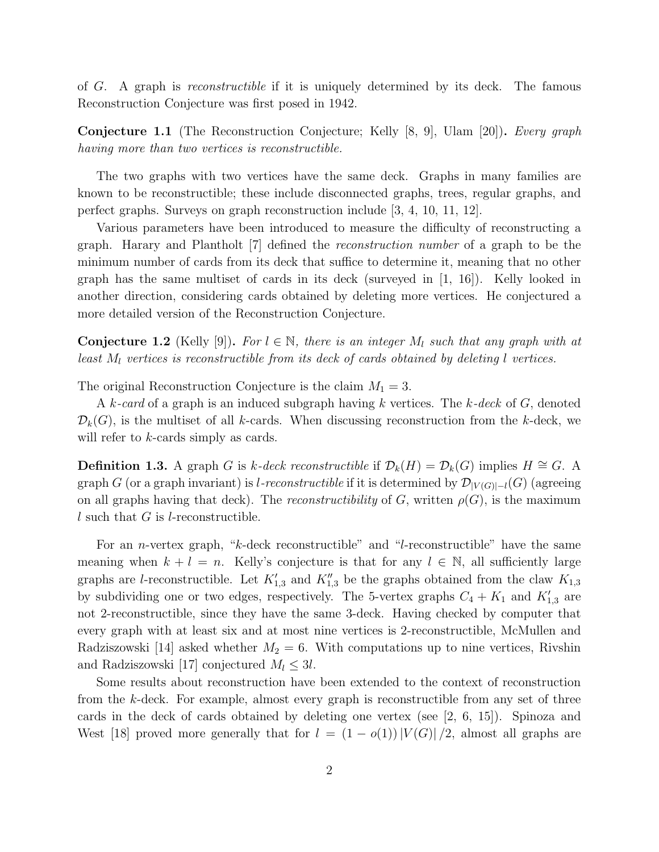of G. A graph is *reconstructible* if it is uniquely determined by its deck. The famous Reconstruction Conjecture was first posed in 1942.

Conjecture 1.1 (The Reconstruction Conjecture; Kelly [8, 9], Ulam [20]). *Every graph having more than two vertices is reconstructible.*

The two graphs with two vertices have the same deck. Graphs in many families are known to be reconstructible; these include disconnected graphs, trees, regular graphs, and perfect graphs. Surveys on graph reconstruction include [3, 4, 10, 11, 12].

Various parameters have been introduced to measure the difficulty of reconstructing a graph. Harary and Plantholt [7] defined the *reconstruction number* of a graph to be the minimum number of cards from its deck that suffice to determine it, meaning that no other graph has the same multiset of cards in its deck (surveyed in [1, 16]). Kelly looked in another direction, considering cards obtained by deleting more vertices. He conjectured a more detailed version of the Reconstruction Conjecture.

**Conjecture 1.2** (Kelly [9]). *For*  $l \in \mathbb{N}$ , there is an integer  $M_l$  such that any graph with at *least*  $M_l$  *vertices is reconstructible from its deck of cards obtained by deleting l vertices.* 

The original Reconstruction Conjecture is the claim  $M_1 = 3$ .

A k*-card* of a graph is an induced subgraph having k vertices. The k*-deck* of G, denoted  $\mathcal{D}_k(G)$ , is the multiset of all k-cards. When discussing reconstruction from the k-deck, we will refer to *k*-cards simply as cards.

**Definition 1.3.** A graph G is k-deck reconstructible if  $\mathcal{D}_k(H) = \mathcal{D}_k(G)$  implies  $H \cong G$ . A graph G (or a graph invariant) is *l-reconstructible* if it is determined by  $\mathcal{D}_{|V(G)|-l}(G)$  (agreeing on all graphs having that deck). The *reconstructibility* of G, written  $\rho(G)$ , is the maximum l such that  $G$  is l-reconstructible.

For an n-vertex graph, "k-deck reconstructible" and "l-reconstructible" have the same meaning when  $k + l = n$ . Kelly's conjecture is that for any  $l \in \mathbb{N}$ , all sufficiently large graphs are *l*-reconstructible. Let  $K'_{1,3}$  and  $K''_{1,3}$  be the graphs obtained from the claw  $K_{1,3}$ by subdividing one or two edges, respectively. The 5-vertex graphs  $C_4 + K_1$  and  $K'_{1,3}$  are not 2-reconstructible, since they have the same 3-deck. Having checked by computer that every graph with at least six and at most nine vertices is 2-reconstructible, McMullen and Radziszowski [14] asked whether  $M_2 = 6$ . With computations up to nine vertices, Rivshin and Radziszowski [17] conjectured  $M_l \leq 3l$ .

Some results about reconstruction have been extended to the context of reconstruction from the k-deck. For example, almost every graph is reconstructible from any set of three cards in the deck of cards obtained by deleting one vertex (see [2, 6, 15]). Spinoza and West [18] proved more generally that for  $l = (1 - o(1)) |V(G)|/2$ , almost all graphs are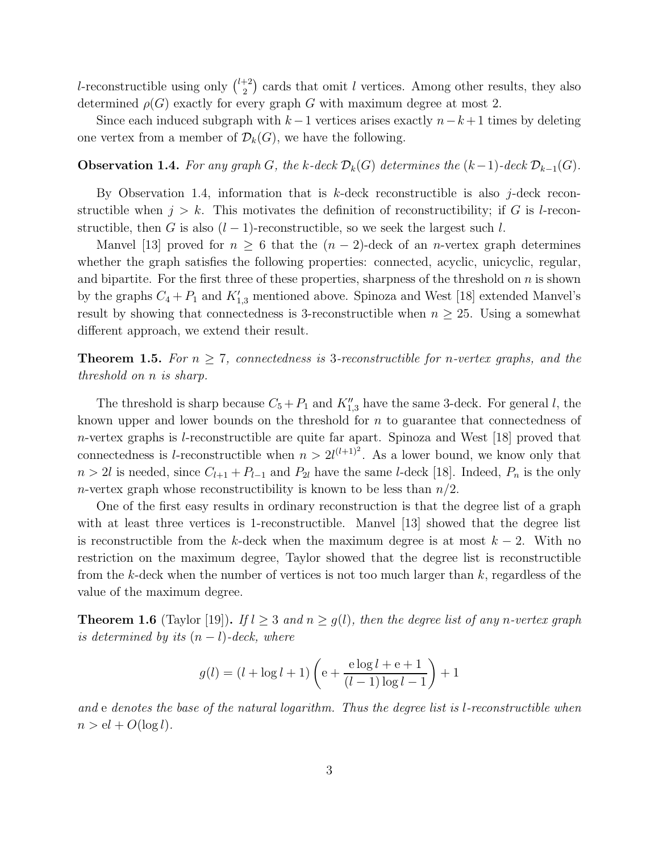l-reconstructible using only  $\binom{l+2}{2}$  $\binom{+2}{2}$  cards that omit l vertices. Among other results, they also determined  $\rho(G)$  exactly for every graph G with maximum degree at most 2.

Since each induced subgraph with  $k-1$  vertices arises exactly  $n-k+1$  times by deleting one vertex from a member of  $\mathcal{D}_k(G)$ , we have the following.

#### **Observation 1.4.** For any graph G, the k-deck  $\mathcal{D}_k(G)$  determines the  $(k-1)$ -deck  $\mathcal{D}_{k-1}(G)$ .

By Observation 1.4, information that is  $k$ -deck reconstructible is also j-deck reconstructible when  $j > k$ . This motivates the definition of reconstructibility; if G is l-reconstructible, then G is also  $(l-1)$ -reconstructible, so we seek the largest such l.

Manvel [13] proved for  $n \geq 6$  that the  $(n-2)$ -deck of an *n*-vertex graph determines whether the graph satisfies the following properties: connected, acyclic, unicyclic, regular, and bipartite. For the first three of these properties, sharpness of the threshold on  $n$  is shown by the graphs  $C_4 + P_1$  and  $K'_{1,3}$  mentioned above. Spinoza and West [18] extended Manvel's result by showing that connectedness is 3-reconstructible when  $n \geq 25$ . Using a somewhat different approach, we extend their result.

**Theorem 1.5.** For  $n \geq 7$ , connectedness is 3-reconstructible for *n*-vertex graphs, and the *threshold on* n *is sharp.*

The threshold is sharp because  $C_5 + P_1$  and  $K''_{1,3}$  have the same 3-deck. For general l, the known upper and lower bounds on the threshold for n to guarantee that connectedness of n-vertex graphs is l-reconstructible are quite far apart. Spinoza and West [18] proved that connectedness is *l*-reconstructible when  $n > 2l^{(l+1)^2}$ . As a lower bound, we know only that  $n > 2l$  is needed, since  $C_{l+1} + P_{l-1}$  and  $P_{2l}$  have the same *l*-deck [18]. Indeed,  $P_n$  is the only n-vertex graph whose reconstructibility is known to be less than  $n/2$ .

One of the first easy results in ordinary reconstruction is that the degree list of a graph with at least three vertices is 1-reconstructible. Manvel [13] showed that the degree list is reconstructible from the k-deck when the maximum degree is at most  $k - 2$ . With no restriction on the maximum degree, Taylor showed that the degree list is reconstructible from the k-deck when the number of vertices is not too much larger than  $k$ , regardless of the value of the maximum degree.

**Theorem 1.6** (Taylor [19]). *If*  $l \geq 3$  *and*  $n \geq g(l)$ *, then the degree list of any n-vertex graph is determined by its* (n − l)*-deck, where*

$$
g(l) = (l + \log l + 1) \left( e + \frac{e \log l + e + 1}{(l - 1) \log l - 1} \right) + 1
$$

*and* e *denotes the base of the natural logarithm. Thus the degree list is* l*-reconstructible when*  $n > el + O(\log l)$ .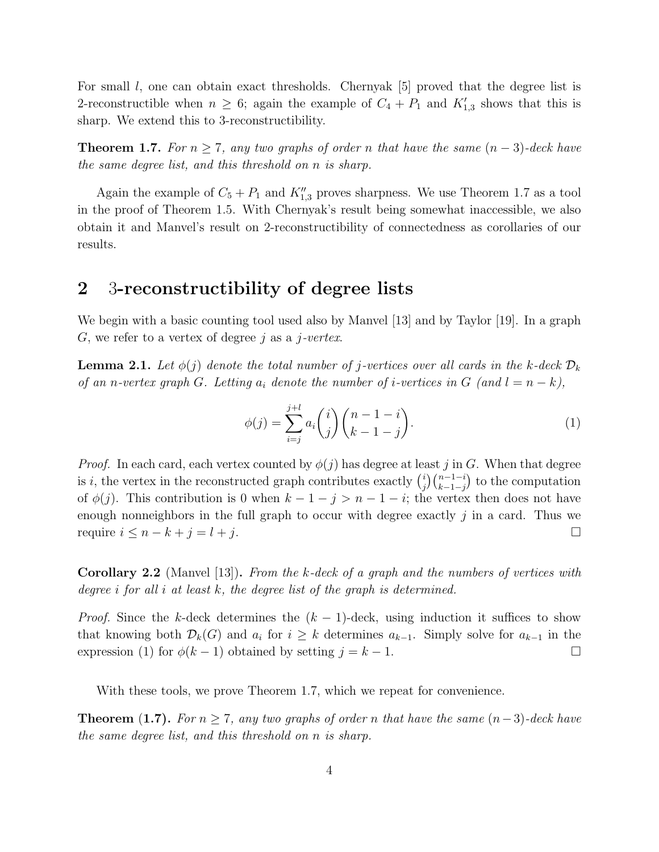For small  $l$ , one can obtain exact thresholds. Chernyak  $|5|$  proved that the degree list is 2-reconstructible when  $n \geq 6$ ; again the example of  $C_4 + P_1$  and  $K'_{1,3}$  shows that this is sharp. We extend this to 3-reconstructibility.

**Theorem 1.7.** *For*  $n \geq 7$ *, any two graphs of order n that have the same*  $(n − 3)$ *-deck have the same degree list, and this threshold on* n *is sharp.*

Again the example of  $C_5 + P_1$  and  $K''_{1,3}$  proves sharpness. We use Theorem 1.7 as a tool in the proof of Theorem 1.5. With Chernyak's result being somewhat inaccessible, we also obtain it and Manvel's result on 2-reconstructibility of connectedness as corollaries of our results.

### 2 3-reconstructibility of degree lists

We begin with a basic counting tool used also by Manvel [13] and by Taylor [19]. In a graph G, we refer to a vertex of degree j as a j*-vertex*.

**Lemma 2.1.** Let  $\phi(j)$  denote the total number of j-vertices over all cards in the k-deck  $\mathcal{D}_k$ *of an* n-vertex graph G. Letting  $a_i$  denote the number of *i*-vertices in G (and  $l = n - k$ ),

$$
\phi(j) = \sum_{i=j}^{j+l} a_i \binom{i}{j} \binom{n-1-i}{k-1-j}.
$$
\n(1)

*Proof.* In each card, each vertex counted by  $\phi(j)$  has degree at least j in G. When that degree is i, the vertex in the reconstructed graph contributes exactly  $\binom{i}{i}$  $\binom{i}{j}\binom{n-1-i}{k-1-j}$  to the computation of  $\phi(j)$ . This contribution is 0 when  $k-1-j > n-1-i$ ; the vertex then does not have enough nonneighbors in the full graph to occur with degree exactly j in a card. Thus we require  $i \leq n - k + j = l + j$ .

Corollary 2.2 (Manvel [13]). *From the* k*-deck of a graph and the numbers of vertices with degree* i *for all* i *at least* k*, the degree list of the graph is determined.*

*Proof.* Since the k-deck determines the  $(k-1)$ -deck, using induction it suffices to show that knowing both  $\mathcal{D}_k(G)$  and  $a_i$  for  $i \geq k$  determines  $a_{k-1}$ . Simply solve for  $a_{k-1}$  in the expression (1) for  $\phi(k-1)$  obtained by setting  $j = k-1$ .

With these tools, we prove Theorem 1.7, which we repeat for convenience.

**Theorem (1.7).** *For*  $n \geq 7$ *, any two graphs of order* n *that have the same*  $(n-3)$ *-deck have the same degree list, and this threshold on* n *is sharp.*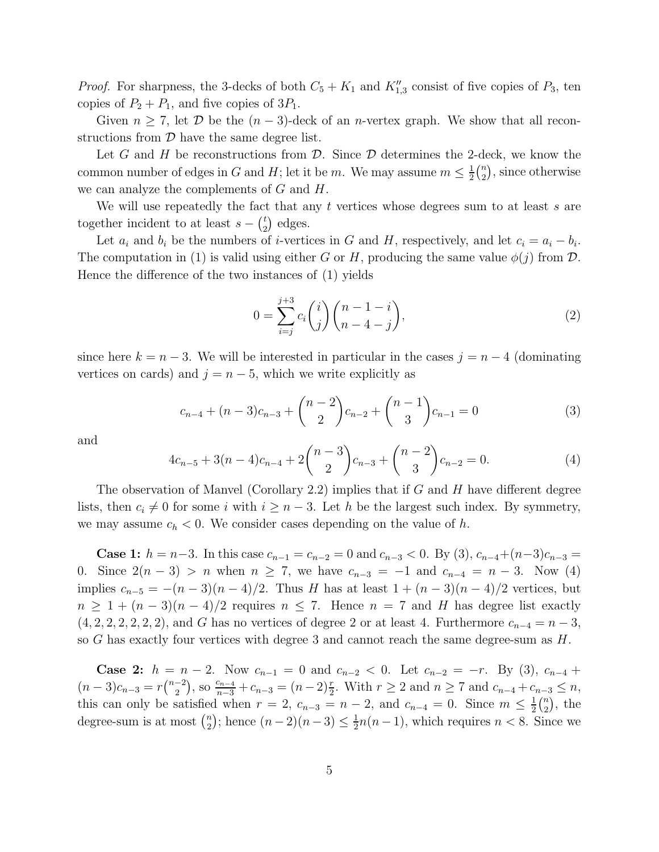*Proof.* For sharpness, the 3-decks of both  $C_5 + K_1$  and  $K''_{1,3}$  consist of five copies of  $P_3$ , ten copies of  $P_2 + P_1$ , and five copies of  $3P_1$ .

Given  $n \geq 7$ , let  $\mathcal{D}$  be the  $(n-3)$ -deck of an *n*-vertex graph. We show that all reconstructions from  $\mathcal D$  have the same degree list.

Let G and H be reconstructions from  $\mathcal{D}$ . Since  $\mathcal{D}$  determines the 2-deck, we know the common number of edges in G and H; let it be m. We may assume  $m \leq \frac{1}{2}$  $\frac{1}{2}$  $\binom{n}{2}$  $n \choose 2$ , since otherwise we can analyze the complements of  $G$  and  $H$ .

We will use repeatedly the fact that any  $t$  vertices whose degrees sum to at least  $s$  are together incident to at least  $s - \binom{t}{2}$  $t \choose 2$  edges.

Let  $a_i$  and  $b_i$  be the numbers of *i*-vertices in G and H, respectively, and let  $c_i = a_i - b_i$ . The computation in (1) is valid using either G or H, producing the same value  $\phi(j)$  from D. Hence the difference of the two instances of (1) yields

$$
0 = \sum_{i=j}^{j+3} c_i \binom{i}{j} \binom{n-1-i}{n-4-j},\tag{2}
$$

since here  $k = n - 3$ . We will be interested in particular in the cases  $j = n - 4$  (dominating vertices on cards) and  $j = n - 5$ , which we write explicitly as

$$
c_{n-4} + (n-3)c_{n-3} + {n-2 \choose 2}c_{n-2} + {n-1 \choose 3}c_{n-1} = 0
$$
 (3)

and

$$
4c_{n-5} + 3(n-4)c_{n-4} + 2\binom{n-3}{2}c_{n-3} + \binom{n-2}{3}c_{n-2} = 0.
$$
 (4)

The observation of Manvel (Corollary 2.2) implies that if G and H have different degree lists, then  $c_i \neq 0$  for some i with  $i \geq n-3$ . Let h be the largest such index. By symmetry, we may assume  $c_h < 0$ . We consider cases depending on the value of h.

**Case 1:**  $h = n-3$ . In this case  $c_{n-1} = c_{n-2} = 0$  and  $c_{n-3} < 0$ . By (3),  $c_{n-4} + (n-3)c_{n-3} =$ 0. Since  $2(n-3) > n$  when  $n \ge 7$ , we have  $c_{n-3} = -1$  and  $c_{n-4} = n-3$ . Now (4) implies  $c_{n-5} = -(n-3)(n-4)/2$ . Thus H has at least  $1 + (n-3)(n-4)/2$  vertices, but  $n \geq 1 + (n-3)(n-4)/2$  requires  $n \leq 7$ . Hence  $n = 7$  and H has degree list exactly  $(4, 2, 2, 2, 2, 2, 2)$ , and G has no vertices of degree 2 or at least 4. Furthermore  $c_{n-4} = n-3$ , so G has exactly four vertices with degree 3 and cannot reach the same degree-sum as  $H$ .

Case 2:  $h = n - 2$ . Now  $c_{n-1} = 0$  and  $c_{n-2} < 0$ . Let  $c_{n-2} = -r$ . By (3),  $c_{n-4}$  +  $(n-3)c_{n-3}=r\binom{n-2}{2}$  $\binom{-2}{2}$ , so  $\frac{c_{n-4}}{n-3} + c_{n-3} = (n-2)\frac{r}{2}$ . With  $r \ge 2$  and  $n \ge 7$  and  $c_{n-4} + c_{n-3} \le n$ , this can only be satisfied when  $r = 2$ ,  $c_{n-3} = n-2$ , and  $c_{n-4} = 0$ . Since  $m \leq \frac{1}{2}$  $\frac{1}{2}$  $\binom{n}{2}$  $n \choose 2$ , the degree-sum is at most  $\binom{n}{2}$  $n \choose 2$ ; hence  $(n-2)(n-3) \leq \frac{1}{2}$  $\frac{1}{2}n(n-1)$ , which requires  $n < 8$ . Since we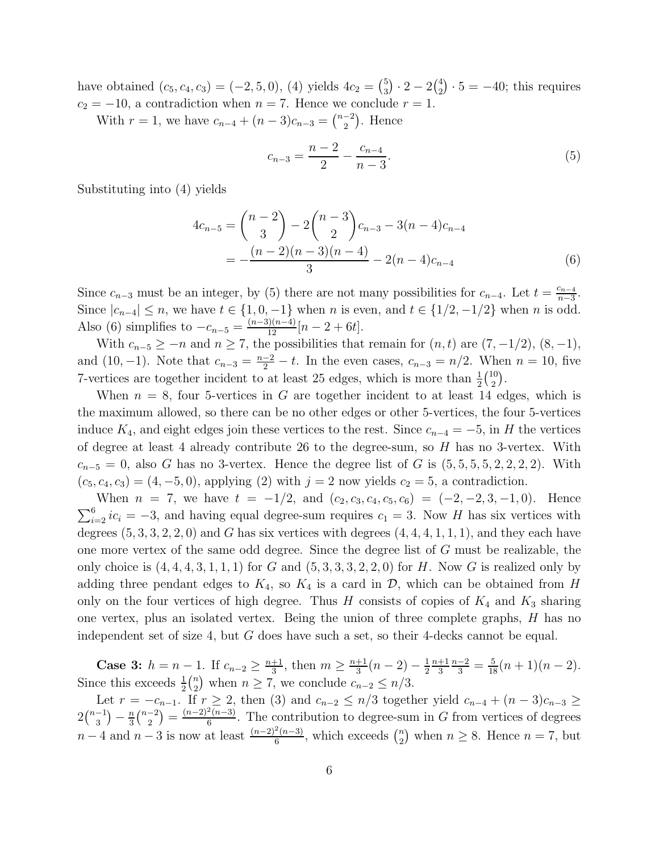have obtained  $(c_5, c_4, c_3) = (-2, 5, 0), (4)$  yields  $4c_2 = \binom{5}{3}$  $\binom{5}{3}\cdot 2-2\binom{4}{2}$  $2^{\{4\}} \cdot 5 = -40$ ; this requires  $c_2 = -10$ , a contradiction when  $n = 7$ . Hence we conclude  $r = 1$ .

With  $r = 1$ , we have  $c_{n-4} + (n-3)c_{n-3} = \binom{n-2}{2}$  $\binom{-2}{2}$ . Hence

$$
c_{n-3} = \frac{n-2}{2} - \frac{c_{n-4}}{n-3}.\tag{5}
$$

Substituting into (4) yields

$$
4c_{n-5} = {n-2 \choose 3} - 2{n-3 \choose 2}c_{n-3} - 3(n-4)c_{n-4}
$$
  
= 
$$
-\frac{(n-2)(n-3)(n-4)}{3} - 2(n-4)c_{n-4}
$$
 (6)

Since  $c_{n-3}$  must be an integer, by (5) there are not many possibilities for  $c_{n-4}$ . Let  $t = \frac{c_{n-4}}{n-3}$  $\frac{c_{n-4}}{n-3}$ . Since  $|c_{n-4}| \le n$ , we have  $t \in \{1, 0, -1\}$  when n is even, and  $t \in \{1/2, -1/2\}$  when n is odd. Also (6) simplifies to  $-c_{n-5} = \frac{(n-3)(n-4)}{12}[n-2+6t]$ .

With  $c_{n-5} \geq -n$  and  $n \geq 7$ , the possibilities that remain for  $(n, t)$  are  $(7, -1/2)$ ,  $(8, -1)$ , and (10, -1). Note that  $c_{n-3} = \frac{n-2}{2} - t$ . In the even cases,  $c_{n-3} = n/2$ . When  $n = 10$ , five 7-vertices are together incident to at least 25 edges, which is more than  $\frac{1}{2}$  $\binom{10}{2}$  $\binom{10}{2}$ .

When  $n = 8$ , four 5-vertices in G are together incident to at least 14 edges, which is the maximum allowed, so there can be no other edges or other 5-vertices, the four 5-vertices induce  $K_4$ , and eight edges join these vertices to the rest. Since  $c_{n-4} = -5$ , in H the vertices of degree at least 4 already contribute 26 to the degree-sum, so  $H$  has no 3-vertex. With  $c_{n-5} = 0$ , also G has no 3-vertex. Hence the degree list of G is  $(5, 5, 5, 5, 2, 2, 2, 2)$ . With  $(c_5, c_4, c_3) = (4, -5, 0)$ , applying (2) with  $j = 2$  now yields  $c_2 = 5$ , a contradiction.

When  $n = 7$ , we have  $t = -1/2$ , and  $(c_2, c_3, c_4, c_5, c_6) = (-2, -2, 3, -1, 0)$ . Hence  $\sum_{i=2}^{6} ic_i = -3$ , and having equal degree-sum requires  $c_1 = 3$ . Now H has six vertices with degrees  $(5, 3, 3, 2, 2, 0)$  and G has six vertices with degrees  $(4, 4, 4, 1, 1, 1)$ , and they each have one more vertex of the same odd degree. Since the degree list of G must be realizable, the only choice is  $(4, 4, 4, 3, 1, 1, 1)$  for G and  $(5, 3, 3, 3, 2, 2, 0)$  for H. Now G is realized only by adding three pendant edges to  $K_4$ , so  $K_4$  is a card in  $\mathcal{D}$ , which can be obtained from H only on the four vertices of high degree. Thus H consists of copies of  $K_4$  and  $K_3$  sharing one vertex, plus an isolated vertex. Being the union of three complete graphs, H has no independent set of size 4, but G does have such a set, so their 4-decks cannot be equal.

**Case 3:**  $h = n - 1$ . If  $c_{n-2} \geq \frac{n+1}{3}$  $\frac{+1}{3}$ , then  $m \geq \frac{n+1}{3}$  $rac{+1}{3}(n-2)-\frac{1}{2}$ 2  $n+1$ 3  $\frac{n-2}{3} = \frac{5}{18}(n+1)(n-2).$ Since this exceeds  $\frac{1}{2} \binom{n}{2}$  $n_2$ ) when  $n \geq 7$ , we conclude  $c_{n-2} \leq n/3$ .

Let  $r = -c_{n-1}$ . If  $r \geq 2$ , then (3) and  $c_{n-2} \leq n/3$  together yield  $c_{n-4} + (n-3)c_{n-3} \geq$  $2\binom{n-1}{3}$  $\binom{-1}{3} - \frac{n}{3}$  $\frac{n}{3}\binom{n-2}{2}$  $\binom{-2}{2} = \frac{(n-2)^2(n-3)}{6}$  $\frac{F(n-3)}{6}$ . The contribution to degree-sum in G from vertices of degrees  $n-4$  and  $n-3$  is now at least  $\frac{(n-2)^2(n-3)}{6}$  $\frac{a_{n-3}}{6}$ , which exceeds  $\binom{n}{2}$  $n \geq 8$ . Hence  $n = 7$ , but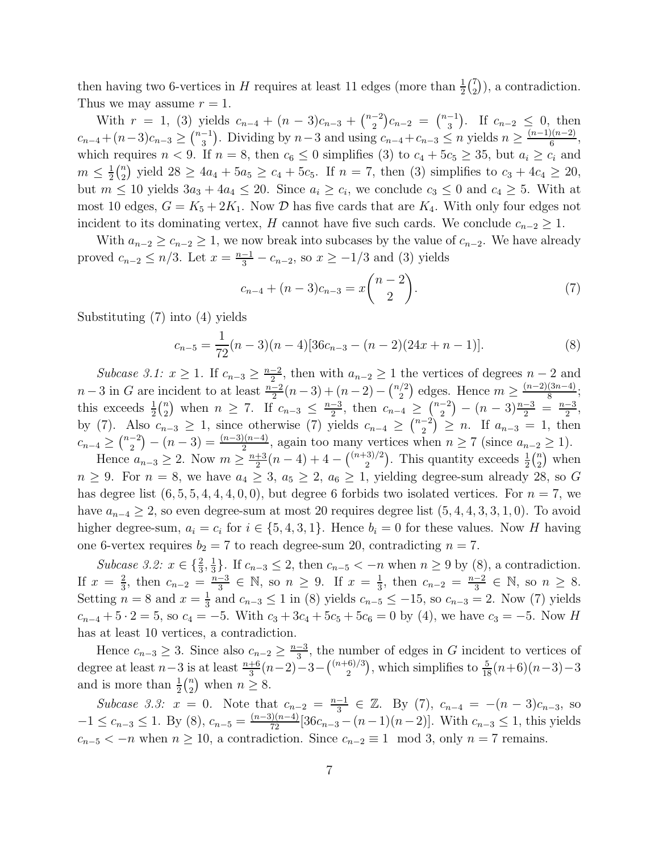then having two 6-vertices in H requires at least 11 edges (more than  $\frac{1}{2}$  $\binom{7}{2}$  $\binom{7}{2}$ , a contradiction. Thus we may assume  $r = 1$ .

With  $r = 1$ , (3) yields  $c_{n-4} + (n-3)c_{n-3} + \binom{n-2}{2}$  $\binom{-2}{2}c_{n-2} = \binom{n-1}{3}$  $\binom{-1}{3}$ . If  $c_{n-2} \leq 0$ , then  $c_{n-4}+(n-3)c_{n-3}\geq {n-1 \choose 3}$  $\binom{-1}{3}$ . Dividing by  $n-3$  and using  $c_{n-4}+c_{n-3} \leq n$  yields  $n \geq \frac{(n-1)(n-2)}{6}$  $\frac{f(n-2)}{6}$ , which requires  $n < 9$ . If  $n = 8$ , then  $c_6 \le 0$  simplifies (3) to  $c_4 + 5c_5 \ge 35$ , but  $a_i \ge c_i$  and  $m \leq \frac{1}{2}$  $rac{1}{2}$  $\binom{n}{2}$ <sup>n</sup></sup>/<sub>2</sub>) yield  $28 \ge 4a_4 + 5a_5 \ge c_4 + 5c_5$ . If  $n = 7$ , then (3) simplifies to  $c_3 + 4c_4 \ge 20$ , but  $m \leq 10$  yields  $3a_3 + 4a_4 \leq 20$ . Since  $a_i \geq c_i$ , we conclude  $c_3 \leq 0$  and  $c_4 \geq 5$ . With at most 10 edges,  $G = K_5 + 2K_1$ . Now  $D$  has five cards that are  $K_4$ . With only four edges not incident to its dominating vertex, H cannot have five such cards. We conclude  $c_{n-2} \geq 1$ .

With  $a_{n-2} \geq c_{n-2} \geq 1$ , we now break into subcases by the value of  $c_{n-2}$ . We have already proved  $c_{n-2} \le n/3$ . Let  $x = \frac{n-1}{3} - c_{n-2}$ , so  $x \ge -1/3$  and (3) yields

$$
c_{n-4} + (n-3)c_{n-3} = x \binom{n-2}{2}.
$$
 (7)

Substituting (7) into (4) yields

$$
c_{n-5} = \frac{1}{72}(n-3)(n-4)[36c_{n-3} - (n-2)(24x + n - 1)].
$$
\n(8)

Subcase 3.1:  $x \geq 1$ . If  $c_{n-3} \geq \frac{n-2}{2}$ , then with  $a_{n-2} \geq 1$  the vertices of degrees  $n-2$  and  $n-3$  in G are incident to at least  $\frac{n-2}{2}(n-3) + (n-2) - \binom{n/2}{2}$  $\binom{2}{2}$  edges. Hence  $m \geq \frac{(n-2)(3n-4)}{8}$  $\frac{(3n-4)}{8};$ this exceeds  $\frac{1}{2} \binom{n}{2}$  $\binom{n}{2}$  when  $n \ge 7$ . If  $c_{n-3} \le \frac{n-3}{2}$  $\frac{-3}{2}$ , then  $c_{n-4} \geq \binom{n-2}{2}$  $\binom{-2}{2} - (n-3)\frac{n-3}{2} = \frac{n-3}{2}$  $\frac{-3}{2}$ , by (7). Also  $c_{n-3} \geq 1$ , since otherwise (7) yields  $c_{n-4} \geq {n-2 \choose 2}$  $\binom{-2}{2}$   $\geq n$ . If  $a_{n-3} = 1$ , then  $c_{n-4} \geq {n-2 \choose 2}$  $\binom{-2}{2} - (n-3) = \frac{(n-3)(n-4)}{2}$ , again too many vertices when  $n \ge 7$  (since  $a_{n-2} \ge 1$ ).

Hence  $a_{n-3} \geq 2$ . Now  $m \geq \frac{n+3}{2}$  $\frac{+3}{2}(n-4)+4-\binom{(n+3)/2}{2}$  $\frac{(2-3)}{2}$ . This quantity exceeds  $\frac{1}{2} \binom{n}{2}$  $n \choose 2$  when  $n \geq 9$ . For  $n = 8$ , we have  $a_4 \geq 3$ ,  $a_5 \geq 2$ ,  $a_6 \geq 1$ , yielding degree-sum already 28, so G has degree list  $(6, 5, 5, 4, 4, 4, 0, 0)$ , but degree 6 forbids two isolated vertices. For  $n = 7$ , we have  $a_{n-4} \geq 2$ , so even degree-sum at most 20 requires degree list  $(5, 4, 4, 3, 3, 1, 0)$ . To avoid higher degree-sum,  $a_i = c_i$  for  $i \in \{5, 4, 3, 1\}$ . Hence  $b_i = 0$  for these values. Now H having one 6-vertex requires  $b_2 = 7$  to reach degree-sum 20, contradicting  $n = 7$ .

*Subcase 3.2:*  $x \in \{\frac{2}{3}, \frac{1}{3}\}$  $\frac{1}{3}$ . If  $c_{n-3} \leq 2$ , then  $c_{n-5} < -n$  when  $n \geq 9$  by (8), a contradiction. If  $x = \frac{2}{3}$  $\frac{2}{3}$ , then  $c_{n-2} = \frac{n-3}{3}$  $\frac{-3}{3} \in \mathbb{N}$ , so  $n \ge 9$ . If  $x = \frac{1}{3}$  $\frac{1}{3}$ , then  $c_{n-2} = \frac{n-2}{3}$  $\frac{-2}{3} \in \mathbb{N}$ , so  $n \geq 8$ . Setting  $n = 8$  and  $x = \frac{1}{3}$  $\frac{1}{3}$  and  $c_{n-3} \le 1$  in (8) yields  $c_{n-5} \le -15$ , so  $c_{n-3} = 2$ . Now (7) yields  $c_{n-4} + 5 \cdot 2 = 5$ , so  $c_4 = -5$ . With  $c_3 + 3c_4 + 5c_5 + 5c_6 = 0$  by (4), we have  $c_3 = -5$ . Now H has at least 10 vertices, a contradiction.

Hence  $c_{n-3} \geq 3$ . Since also  $c_{n-2} \geq \frac{n-3}{3}$  $\frac{-3}{3}$ , the number of edges in G incident to vertices of degree at least  $n-3$  is at least  $\frac{n+6}{3}(n-2)-3-{\binom{(n+6)/3}{2}}$  $\frac{1}{2}^{6/3}$ , which simplifies to  $\frac{5}{18}(n+6)(n-3)-3$ and is more than  $\frac{1}{2} \binom{n}{2}$  $n \geq 8$ .

*Subcase 3.3:*  $x = 0$ . Note that  $c_{n-2} = \frac{n-1}{3}$  $\frac{-1}{3}$  ∈ ℤ. By (7),  $c_{n-4} = -(n-3)c_{n-3}$ , so  $-1 \leq c_{n-3} \leq 1$ . By (8),  $c_{n-5} = \frac{(n-3)(n-4)}{72} [36c_{n-3} - (n-1)(n-2)]$ . With  $c_{n-3} \leq 1$ , this yields  $c_{n-5} < -n$  when  $n \ge 10$ , a contradiction. Since  $c_{n-2} \equiv 1 \mod 3$ , only  $n = 7$  remains.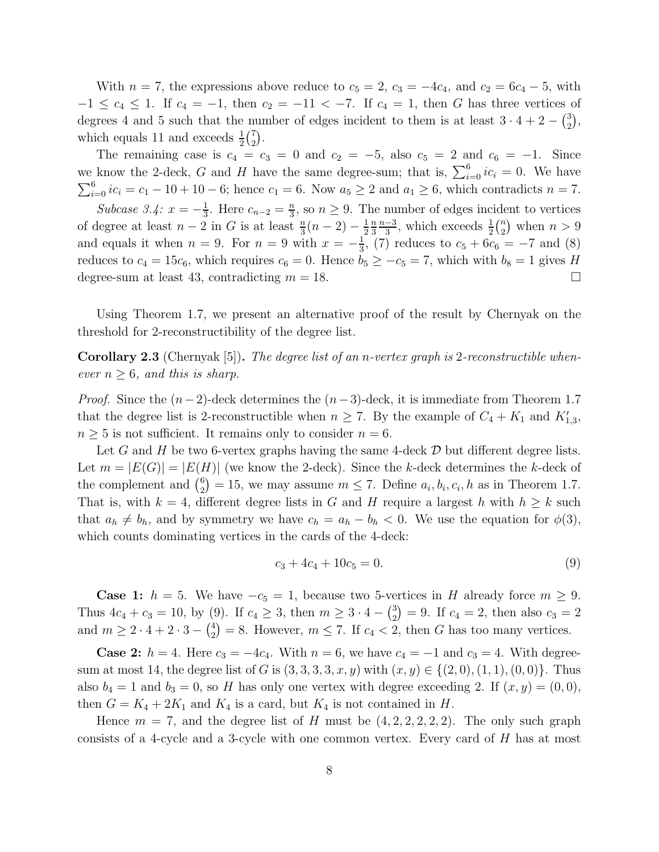With  $n = 7$ , the expressions above reduce to  $c_5 = 2$ ,  $c_3 = -4c_4$ , and  $c_2 = 6c_4 - 5$ , with  $-1 \leq c_4 \leq 1$ . If  $c_4 = -1$ , then  $c_2 = -11 < -7$ . If  $c_4 = 1$ , then G has three vertices of degrees 4 and 5 such that the number of edges incident to them is at least  $3 \cdot 4 + 2 - {3 \choose 2}$  $_{2}^{3}),$ which equals 11 and exceeds  $\frac{1}{2}$  $\binom{7}{2}$  $_{2}^{7}$ .

The remaining case is  $c_4 = c_3 = 0$  and  $c_2 = -5$ , also  $c_5 = 2$  and  $c_6 = -1$ . Since we know the 2-deck, G and H have the same degree-sum; that is,  $\sum_{i=0}^{6} ic_i = 0$ . We have  $\sum_{i=0}^{6} ic_i = c_1 - 10 + 10 - 6$ ; hence  $c_1 = 6$ . Now  $a_5 \ge 2$  and  $a_1 \ge 6$ , which contradicts  $n = 7$ . *Subcase 3.4:*  $x = -\frac{1}{3}$  $\frac{1}{3}$ . Here  $c_{n-2} = \frac{n}{3}$  $\frac{n}{3}$ , so  $n \geq 9$ . The number of edges incident to vertices of degree at least  $n-2$  in G is at least  $\frac{n}{3}(n-2) - \frac{1}{2}$ 2 n 3  $n-3$  $\frac{-3}{3}$ , which exceeds  $\frac{1}{2} \binom{n}{2}$  $\binom{n}{2}$  when  $n > 9$ and equals it when  $n = 9$ . For  $n = 9$  with  $x = -\frac{1}{3}$  $\frac{1}{3}$ , (7) reduces to  $c_5 + 6c_6 = -7$  and (8) reduces to  $c_4 = 15c_6$ , which requires  $c_6 = 0$ . Hence  $b_5 \geq -c_5 = 7$ , which with  $b_8 = 1$  gives H degree-sum at least 43, contradicting  $m = 18$ .

Using Theorem 1.7, we present an alternative proof of the result by Chernyak on the threshold for 2-reconstructibility of the degree list.

Corollary 2.3 (Chernyak [5]). *The degree list of an* n*-vertex graph is* 2*-reconstructible whenever*  $n \geq 6$ *, and this is sharp.* 

*Proof.* Since the  $(n-2)$ -deck determines the  $(n-3)$ -deck, it is immediate from Theorem 1.7 that the degree list is 2-reconstructible when  $n \geq 7$ . By the example of  $C_4 + K_1$  and  $K'_{1,3}$ ,  $n \geq 5$  is not sufficient. It remains only to consider  $n = 6$ .

Let G and H be two 6-vertex graphs having the same 4-deck  $\mathcal D$  but different degree lists. Let  $m = |E(G)| = |E(H)|$  (we know the 2-deck). Since the k-deck determines the k-deck of the complement and  $\binom{6}{2}$  $\binom{6}{2} = 15$ , we may assume  $m \leq 7$ . Define  $a_i, b_i, c_i, h$  as in Theorem 1.7. That is, with  $k = 4$ , different degree lists in G and H require a largest h with  $h \geq k$  such that  $a_h \neq b_h$ , and by symmetry we have  $c_h = a_h - b_h < 0$ . We use the equation for  $\phi(3)$ , which counts dominating vertices in the cards of the 4-deck:

$$
c_3 + 4c_4 + 10c_5 = 0.\t\t(9)
$$

**Case 1:**  $h = 5$ . We have  $-c_5 = 1$ , because two 5-vertices in H already force  $m \geq 9$ . Thus  $4c_4 + c_3 = 10$ , by (9). If  $c_4 \geq 3$ , then  $m \geq 3 \cdot 4 - {3 \choose 2}$  $(z_2^3) = 9$ . If  $c_4 = 2$ , then also  $c_3 = 2$ and  $m \geq 2 \cdot 4 + 2 \cdot 3 - \binom{4}{2}$  $\binom{4}{2}$  = 8. However,  $m \leq 7$ . If  $c_4 < 2$ , then G has too many vertices.

**Case 2:**  $h = 4$ . Here  $c_3 = -4c_4$ . With  $n = 6$ , we have  $c_4 = -1$  and  $c_3 = 4$ . With degreesum at most 14, the degree list of G is  $(3, 3, 3, 3, x, y)$  with  $(x, y) \in \{(2, 0), (1, 1), (0, 0)\}.$  Thus also  $b_4 = 1$  and  $b_3 = 0$ , so H has only one vertex with degree exceeding 2. If  $(x, y) = (0, 0)$ , then  $G = K_4 + 2K_1$  and  $K_4$  is a card, but  $K_4$  is not contained in H.

Hence  $m = 7$ , and the degree list of H must be  $(4, 2, 2, 2, 2, 2)$ . The only such graph consists of a 4-cycle and a 3-cycle with one common vertex. Every card of  $H$  has at most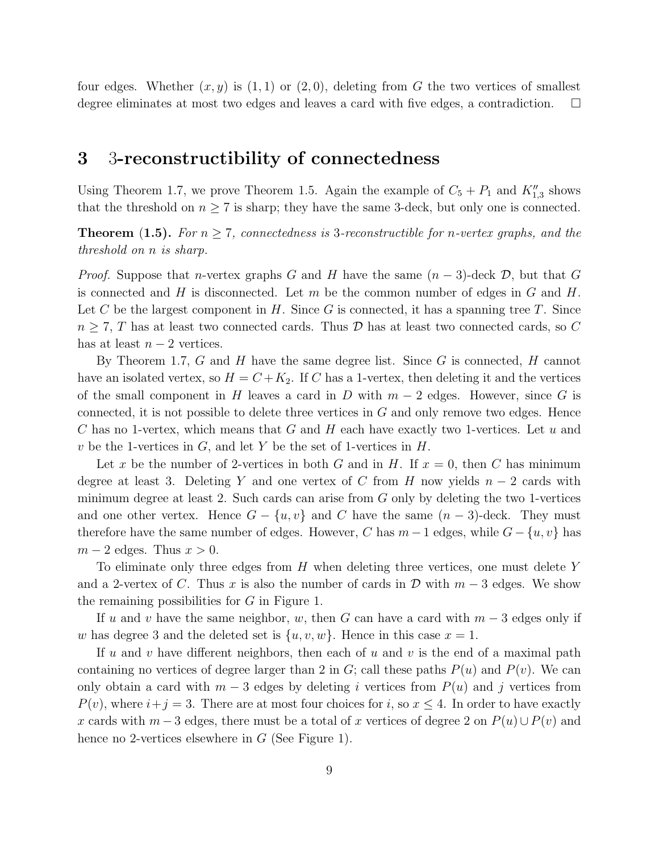four edges. Whether  $(x, y)$  is  $(1, 1)$  or  $(2, 0)$ , deleting from G the two vertices of smallest degree eliminates at most two edges and leaves a card with five edges, a contradiction.  $\Box$ 

### 3 3-reconstructibility of connectedness

Using Theorem 1.7, we prove Theorem 1.5. Again the example of  $C_5 + P_1$  and  $K''_{1,3}$  shows that the threshold on  $n \geq 7$  is sharp; they have the same 3-deck, but only one is connected.

**Theorem (1.5).** For  $n \geq 7$ , connectedness is 3-reconstructible for *n*-vertex graphs, and the *threshold on* n *is sharp.*

*Proof.* Suppose that *n*-vertex graphs G and H have the same  $(n-3)$ -deck  $\mathcal{D}$ , but that G is connected and H is disconnected. Let  $m$  be the common number of edges in  $G$  and  $H$ . Let C be the largest component in  $H$ . Since G is connected, it has a spanning tree T. Since  $n \geq 7$ , T has at least two connected cards. Thus D has at least two connected cards, so C has at least  $n-2$  vertices.

By Theorem 1.7,  $G$  and  $H$  have the same degree list. Since  $G$  is connected,  $H$  cannot have an isolated vertex, so  $H = C + K_2$ . If C has a 1-vertex, then deleting it and the vertices of the small component in H leaves a card in D with  $m-2$  edges. However, since G is connected, it is not possible to delete three vertices in  $G$  and only remove two edges. Hence C has no 1-vertex, which means that G and H each have exactly two 1-vertices. Let  $u$  and v be the 1-vertices in  $G$ , and let Y be the set of 1-vertices in  $H$ .

Let x be the number of 2-vertices in both G and in H. If  $x = 0$ , then C has minimum degree at least 3. Deleting Y and one vertex of C from H now yields  $n-2$  cards with minimum degree at least 2. Such cards can arise from  $G$  only by deleting the two 1-vertices and one other vertex. Hence  $G - \{u, v\}$  and C have the same  $(n-3)$ -deck. They must therefore have the same number of edges. However, C has  $m-1$  edges, while  $G - \{u, v\}$  has  $m-2$  edges. Thus  $x > 0$ .

To eliminate only three edges from H when deleting three vertices, one must delete Y and a 2-vertex of C. Thus x is also the number of cards in  $\mathcal D$  with  $m-3$  edges. We show the remaining possibilities for G in Figure 1.

If u and v have the same neighbor, w, then G can have a card with  $m-3$  edges only if w has degree 3 and the deleted set is  $\{u, v, w\}$ . Hence in this case  $x = 1$ .

If u and v have different neighbors, then each of u and v is the end of a maximal path containing no vertices of degree larger than 2 in G; call these paths  $P(u)$  and  $P(v)$ . We can only obtain a card with  $m-3$  edges by deleting i vertices from  $P(u)$  and j vertices from  $P(v)$ , where  $i+j=3$ . There are at most four choices for i, so  $x \leq 4$ . In order to have exactly x cards with  $m-3$  edges, there must be a total of x vertices of degree 2 on  $P(u) \cup P(v)$  and hence no 2-vertices elsewhere in  $G$  (See Figure 1).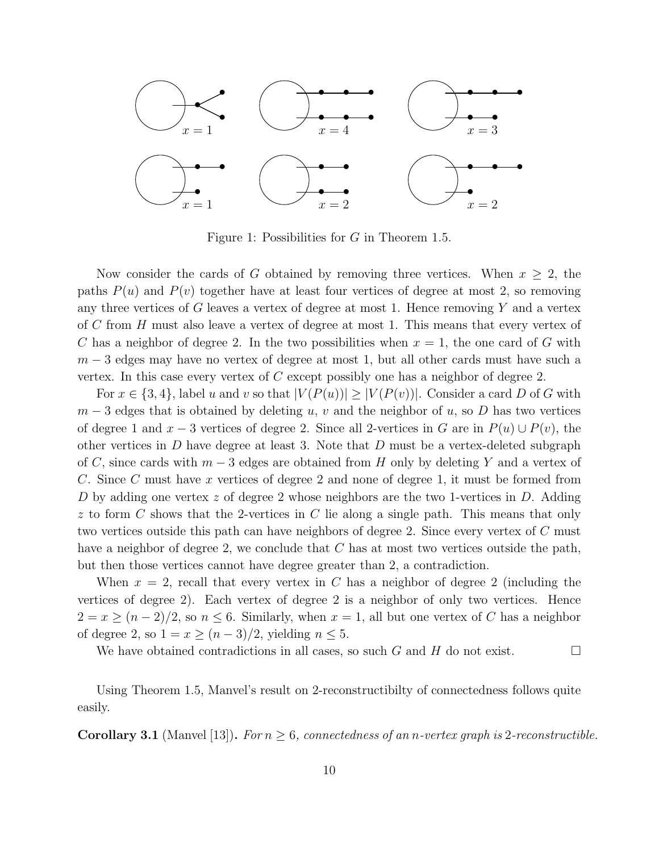

Figure 1: Possibilities for G in Theorem 1.5.

Now consider the cards of G obtained by removing three vertices. When  $x \geq 2$ , the paths  $P(u)$  and  $P(v)$  together have at least four vertices of degree at most 2, so removing any three vertices of G leaves a vertex of degree at most 1. Hence removing  $Y$  and a vertex of C from H must also leave a vertex of degree at most 1. This means that every vertex of C has a neighbor of degree 2. In the two possibilities when  $x = 1$ , the one card of G with  $m-3$  edges may have no vertex of degree at most 1, but all other cards must have such a vertex. In this case every vertex of  $C$  except possibly one has a neighbor of degree 2.

For  $x \in \{3, 4\}$ , label u and v so that  $|V(P(u))| \geq |V(P(v))|$ . Consider a card D of G with  $m-3$  edges that is obtained by deleting u, v and the neighbor of u, so D has two vertices of degree 1 and  $x - 3$  vertices of degree 2. Since all 2-vertices in G are in  $P(u) \cup P(v)$ , the other vertices in  $D$  have degree at least 3. Note that  $D$  must be a vertex-deleted subgraph of C, since cards with  $m-3$  edges are obtained from H only by deleting Y and a vertex of C. Since C must have x vertices of degree 2 and none of degree 1, it must be formed from D by adding one vertex  $z$  of degree 2 whose neighbors are the two 1-vertices in D. Adding  $z$  to form  $C$  shows that the 2-vertices in  $C$  lie along a single path. This means that only two vertices outside this path can have neighbors of degree 2. Since every vertex of C must have a neighbor of degree 2, we conclude that C has at most two vertices outside the path, but then those vertices cannot have degree greater than 2, a contradiction.

When  $x = 2$ , recall that every vertex in C has a neighbor of degree 2 (including the vertices of degree 2). Each vertex of degree 2 is a neighbor of only two vertices. Hence  $2 = x \ge (n-2)/2$ , so  $n \le 6$ . Similarly, when  $x = 1$ , all but one vertex of C has a neighbor of degree 2, so  $1 = x \ge (n-3)/2$ , yielding  $n \le 5$ .

We have obtained contradictions in all cases, so such G and H do not exist.  $\Box$ 

Using Theorem 1.5, Manvel's result on 2-reconstructibilty of connectedness follows quite easily.

**Corollary 3.1** (Manvel [13]). For  $n \geq 6$ , connectedness of an *n*-vertex graph is 2-reconstructible.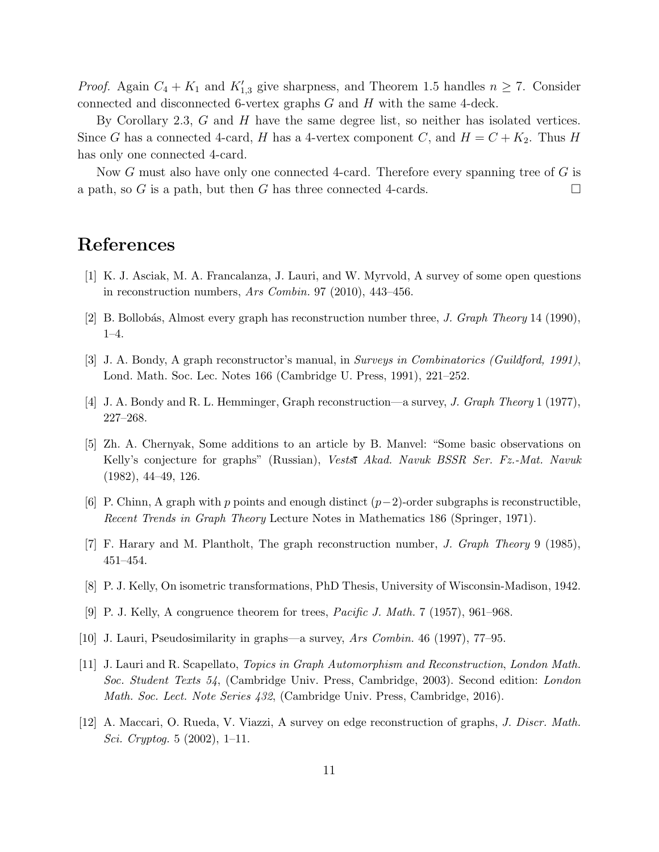*Proof.* Again  $C_4 + K_1$  and  $K'_{1,3}$  give sharpness, and Theorem 1.5 handles  $n \geq 7$ . Consider connected and disconnected 6-vertex graphs G and H with the same 4-deck.

By Corollary 2.3,  $G$  and  $H$  have the same degree list, so neither has isolated vertices. Since G has a connected 4-card, H has a 4-vertex component C, and  $H = C + K_2$ . Thus H has only one connected 4-card.

Now G must also have only one connected 4-card. Therefore every spanning tree of  $G$  is a path, so G is a path, but then G has three connected 4-cards.

## References

- [1] K. J. Asciak, M. A. Francalanza, J. Lauri, and W. Myrvold, A survey of some open questions in reconstruction numbers, Ars Combin. 97 (2010), 443-456.
- [2] B. Bollobás, Almost every graph has reconstruction number three, *J. Graph Theory* 14 (1990), 1–4.
- [3] J. A. Bondy, A graph reconstructor's manual, in Surveys in Combinatorics (Guildford, 1991), Lond. Math. Soc. Lec. Notes 166 (Cambridge U. Press, 1991), 221–252.
- [4] J. A. Bondy and R. L. Hemminger, Graph reconstruction—a survey, J. Graph Theory 1 (1977), 227–268.
- [5] Zh. A. Chernyak, Some additions to an article by B. Manvel: "Some basic observations on Kelly's conjecture for graphs" (Russian), Vestsı Akad. Navuk BSSR Ser. Fz.-Mat. Navuk (1982), 44–49, 126.
- [6] P. Chinn, A graph with p points and enough distinct  $(p-2)$ -order subgraphs is reconstructible, Recent Trends in Graph Theory Lecture Notes in Mathematics 186 (Springer, 1971).
- [7] F. Harary and M. Plantholt, The graph reconstruction number, J. Graph Theory 9 (1985), 451–454.
- [8] P. J. Kelly, On isometric transformations, PhD Thesis, University of Wisconsin-Madison, 1942.
- [9] P. J. Kelly, A congruence theorem for trees, Pacific J. Math. 7 (1957), 961–968.
- [10] J. Lauri, Pseudosimilarity in graphs—a survey, Ars Combin. 46 (1997), 77–95.
- [11] J. Lauri and R. Scapellato, Topics in Graph Automorphism and Reconstruction, London Math. Soc. Student Texts 54, (Cambridge Univ. Press, Cambridge, 2003). Second edition: London Math. Soc. Lect. Note Series 432, (Cambridge Univ. Press, Cambridge, 2016).
- [12] A. Maccari, O. Rueda, V. Viazzi, A survey on edge reconstruction of graphs, J. Discr. Math. Sci. Cryptog. 5 (2002), 1–11.